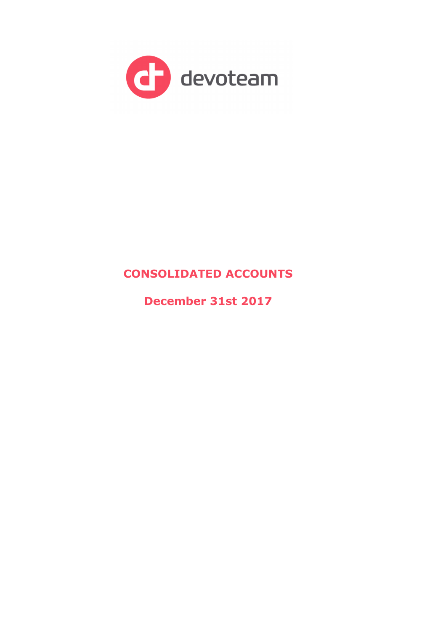

# **CONSOLIDATED ACCOUNTS**

**December 31st 2017**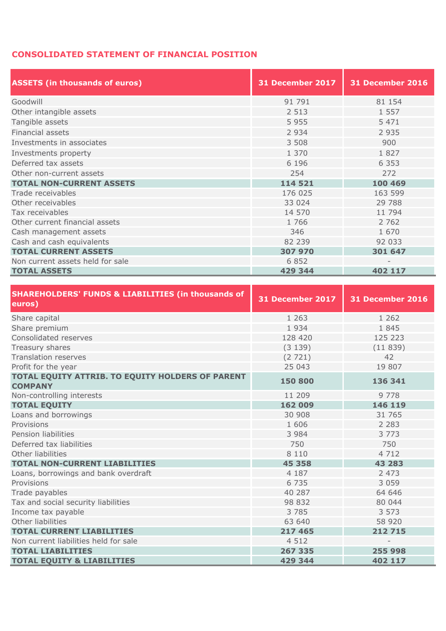## **CONSOLIDATED STATEMENT OF FINANCIAL POSITION**

| <b>ASSETS (in thousands of euros)</b> | <b>31 December 2017</b> | <b>31 December 2016</b> |  |  |  |
|---------------------------------------|-------------------------|-------------------------|--|--|--|
| Goodwill                              | 91 791                  | 81 154                  |  |  |  |
| Other intangible assets               | 2 5 1 3                 | 1 5 5 7                 |  |  |  |
| Tangible assets                       | 5 9 5 5                 | 5 4 7 1                 |  |  |  |
| Financial assets                      | 2 9 3 4                 | 2 9 3 5                 |  |  |  |
| Investments in associates             | 3 5 0 8                 | 900                     |  |  |  |
| Investments property                  | 1 370                   | 1827                    |  |  |  |
| Deferred tax assets                   | 6 1 9 6                 | 6 3 5 3                 |  |  |  |
| Other non-current assets              | 254                     | 272                     |  |  |  |
| <b>TOTAL NON-CURRENT ASSETS</b>       | 114 521                 | 100 469                 |  |  |  |
| Trade receivables                     | 176 025                 | 163 599                 |  |  |  |
| Other receivables                     | 33 0 24                 | 29 788                  |  |  |  |
| Tax receivables                       | 14 570                  | 11 794                  |  |  |  |
| Other current financial assets        | 1766                    | 2 7 6 2                 |  |  |  |
| Cash management assets                | 346                     | 1 670                   |  |  |  |
| Cash and cash equivalents             | 82 239                  | 92 033                  |  |  |  |
| <b>TOTAL CURRENT ASSETS</b>           | 307 970                 | 301 647                 |  |  |  |
| Non current assets held for sale      | 6 8 5 2                 |                         |  |  |  |
| <b>TOTAL ASSETS</b>                   | 429 344                 | 402 117                 |  |  |  |

| <b>SHAREHOLDERS' FUNDS &amp; LIABILITIES (in thousands of</b><br>euros) | 31 December 2017 | 31 December 2016         |
|-------------------------------------------------------------------------|------------------|--------------------------|
| Share capital                                                           | 1 2 6 3          | 1 2 6 2                  |
| Share premium                                                           | 1 9 3 4          | 1845                     |
| Consolidated reserves                                                   | 128 420          | 125 223                  |
| Treasury shares                                                         | (3139)           | (11839)                  |
| <b>Translation reserves</b>                                             | (2721)           | 42                       |
| Profit for the year                                                     | 25 043           | 19 807                   |
| TOTAL EQUITY ATTRIB. TO EQUITY HOLDERS OF PARENT<br><b>COMPANY</b>      | 150 800          | 136 341                  |
| Non-controlling interests                                               | 11 209           | 9 7 7 8                  |
| <b>TOTAL EQUITY</b>                                                     | 162 009          | 146 119                  |
| Loans and borrowings                                                    | 30 908           | 31 765                   |
| Provisions                                                              | 1 606            | 2 2 8 3                  |
| Pension liabilities                                                     | 3 9 8 4          | 3 7 7 3                  |
| Deferred tax liabilities                                                | 750              | 750                      |
| Other liabilities                                                       | 8 1 1 0          | 4 7 1 2                  |
| <b>TOTAL NON-CURRENT LIABILITIES</b>                                    | 45 358           | 43 283                   |
| Loans, borrowings and bank overdraft                                    | 4 187            | 2 4 7 3                  |
| Provisions                                                              | 6 7 3 5          | 3 0 5 9                  |
| Trade payables                                                          | 40 287           | 64 646                   |
| Tax and social security liabilities                                     | 98 832           | 80 044                   |
| Income tax payable                                                      | 3 7 8 5          | 3 5 7 3                  |
| Other liabilities                                                       | 63 640           | 58 920                   |
| <b>TOTAL CURRENT LIABILITIES</b>                                        | 217 465          | 212 715                  |
| Non current liabilities held for sale                                   | 4 5 1 2          | $\overline{\phantom{a}}$ |
| <b>TOTAL LIABILITIES</b>                                                | 267 335          | 255 998                  |
| <b>TOTAL EQUITY &amp; LIABILITIES</b>                                   | 429 344          | 402 117                  |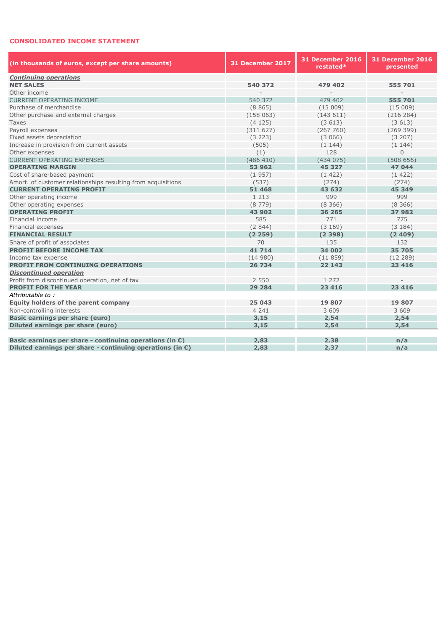#### **CONSOLIDATED INCOME STATEMENT**

| (in thousands of euros, except per share amounts)                   | 31 December 2017 | 31 December 2016<br>restated* | 31 December 2016<br>presented |
|---------------------------------------------------------------------|------------------|-------------------------------|-------------------------------|
| <b>Continuing operations</b>                                        |                  |                               |                               |
| <b>NET SALES</b>                                                    | 540 372          | 479 402                       | 555 701                       |
| Other income                                                        |                  |                               |                               |
| <b>CURRENT OPERATING INCOME</b>                                     | 540 372          | 479 402                       | 555 701                       |
| Purchase of merchandise                                             | (8865)           | (15009)                       | (15009)                       |
| Other purchase and external charges                                 | (158063)         | (143611)                      | (216 284)                     |
| <b>Taxes</b>                                                        | (4125)           | (3613)                        | (3613)                        |
| Payroll expenses                                                    | (311627)         | (267760)                      | (269399)                      |
| Fixed assets depreciation                                           | (3 223)          | (3066)                        | (3 207)                       |
| Increase in provision from current assets                           | (505)            | (1144)                        | (1144)                        |
| Other expenses                                                      | (1)              | 128                           | $\mathbf{0}$                  |
| <b>CURRENT OPERATING EXPENSES</b>                                   | (486 410)        | (434075)                      | (508656)                      |
| <b>OPERATING MARGIN</b>                                             | 53 962           | 45 3 27                       | 47 044                        |
| Cost of share-based payment                                         | (1957)           | (1422)                        | (1422)                        |
| Amort. of customer relationships resulting from acquisitions        | (537)            | (274)                         | (274)                         |
| <b>CURRENT OPERATING PROFIT</b>                                     | 51 468           | 43 632                        | 45 349                        |
| Other operating income                                              | 1 2 1 3          | 999                           | 999                           |
| Other operating expenses                                            | (8779)           | (8, 366)                      | (8, 366)                      |
| <b>OPERATING PROFIT</b>                                             | 43 902           | 36 265                        | 37 982                        |
| Financial income                                                    | 585              | 771                           | 775                           |
| Financial expenses                                                  | (2844)           | (3169)                        | (3184)                        |
| <b>FINANCIAL RESULT</b>                                             | (2259)           | (2398)                        | (2409)                        |
| Share of profit of associates                                       | 70               | 135                           | 132                           |
| <b>PROFIT BEFORE INCOME TAX</b>                                     | 41 714           | 34 002                        | 35 705                        |
| Income tax expense                                                  | (14980)          | (11859)                       | (12 289)                      |
| <b>PROFIT FROM CONTINUING OPERATIONS</b>                            | 26 734           | 22 143                        | 23 4 16                       |
| <b>Discontinued operation</b>                                       |                  |                               |                               |
| Profit from discontinued operation, net of tax                      | 2 5 5 0          | 1 2 7 2                       |                               |
| <b>PROFIT FOR THE YEAR</b>                                          | 29 284           | 23 4 16                       | 23 4 16                       |
| Attributable to:                                                    |                  |                               |                               |
| Equity holders of the parent company                                | 25 043           | 19 807                        | 19 807                        |
| Non-controlling interests                                           | 4 2 4 1          | 3 609                         | 3 609                         |
| Basic earnings per share (euro)                                     | 3,15             | 2,54                          | 2,54                          |
| Diluted earnings per share (euro)                                   | 3,15             | 2,54                          | 2,54                          |
|                                                                     |                  |                               |                               |
| Basic earnings per share - continuing operations (in $\epsilon$ )   | 2,83             | 2,38                          | n/a                           |
| Diluted earnings per share - continuing operations (in $\epsilon$ ) | 2,83             | 2,37                          | n/a                           |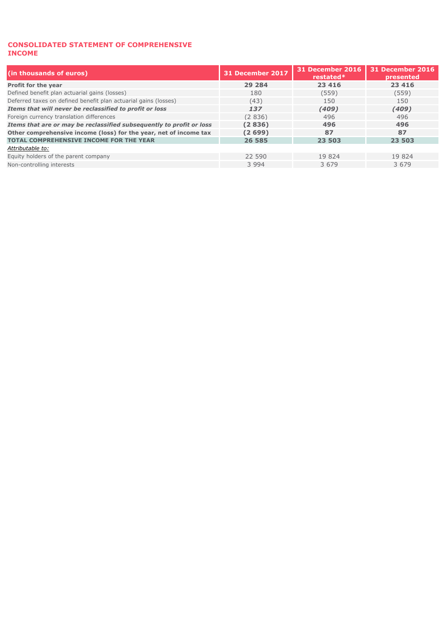#### **CONSOLIDATED STATEMENT OF COMPREHENSIVE INCOME**

| (in thousands of euros)                                              | 31 December 2017 | 31 December 2016<br>$restated*$ | <b>31 December 2016</b><br><b>presented</b> |  |
|----------------------------------------------------------------------|------------------|---------------------------------|---------------------------------------------|--|
| Profit for the year                                                  | 29 284           | 23 4 16                         | 23 4 16                                     |  |
| Defined benefit plan actuarial gains (losses)                        | 180              | (559)                           | (559)                                       |  |
| Deferred taxes on defined benefit plan actuarial gains (losses)      | (43)             | 150                             | 150                                         |  |
| Items that will never be reclassified to profit or loss              | 137              | (409)                           | (409)                                       |  |
| Foreign currency translation differences                             | (2836)           | 496                             | 496                                         |  |
| Items that are or may be reclassified subsequently to profit or loss | (2836)           | 496                             | 496                                         |  |
| Other comprehensive income (loss) for the year, net of income tax    | (2699)           | 87                              | 87                                          |  |
| <b>TOTAL COMPREHENSIVE INCOME FOR THE YEAR</b>                       | 26 585           | 23 503                          | 23 503                                      |  |
| Attributable to:                                                     |                  |                                 |                                             |  |
| Equity holders of the parent company                                 | 22 590           | 19 824                          | 19 824                                      |  |
| Non-controlling interests                                            | 3 9 9 4          | 3 6 7 9                         | 3 6 7 9                                     |  |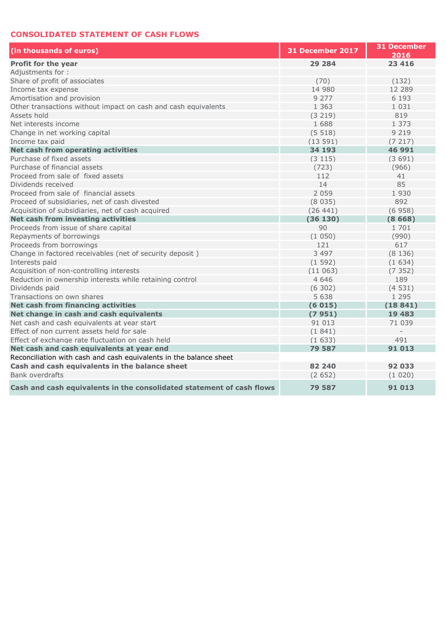### **CONSOLIDATED STATEMENT OF CASH FLOWS**

| (in thousands of euros)                                               | 31 December 2017 | 31 December<br>2016 |
|-----------------------------------------------------------------------|------------------|---------------------|
| <b>Profit for the year</b>                                            | 29 284           | 23 4 16             |
| Adjustments for:                                                      |                  |                     |
| Share of profit of associates                                         | (70)             | (132)               |
| Income tax expense                                                    | 14 980           | 12 289              |
| Amortisation and provision                                            | 9 2 7 7          | 6 1 9 3             |
| Other transactions without impact on cash and cash equivalents        | 1 3 6 3          | 1 0 3 1             |
| Assets hold                                                           | (3 219)          | 819                 |
| Net interests income                                                  | 1 688            | 1 373               |
| Change in net working capital                                         | (5518)           | 9 2 1 9             |
| Income tax paid                                                       | (13591)          | (7217)              |
| Net cash from operating activities                                    | 34 193           | 46 991              |
| Purchase of fixed assets                                              | (3 115)          | (3691)              |
| Purchase of financial assets                                          | (723)            | (966)               |
| Proceed from sale of fixed assets                                     | 112              | 41                  |
| Dividends received                                                    | 14               | 85                  |
| Proceed from sale of financial assets                                 | 2 0 5 9          | 1930                |
| Proceed of subsidiaries, net of cash divested                         | (8035)           | 892                 |
| Acquisition of subsidiaries, net of cash acquired                     | (26441)          | (6958)              |
| Net cash from investing activities                                    | (36130)          | (8668)              |
| Proceeds from issue of share capital                                  | 90               | 1 701               |
| Repayments of borrowings                                              | (1050)           | (990)               |
| Proceeds from borrowings                                              | 121              | 617                 |
| Change in factored receivables (net of security deposit)              | 3 4 9 7          | (8136)              |
| Interests paid                                                        | (1592)           | (1634)              |
| Acquisition of non-controlling interests                              | (11063)          | (7352)              |
| Reduction in ownership interests while retaining control              | 4 6 4 6          | 189                 |
| Dividends paid                                                        | (6302)           | (4531)              |
| Transactions on own shares                                            | 5 6 3 8          | 1 2 9 5             |
| Net cash from financing activities                                    | (6015)           | (18841)             |
| Net change in cash and cash equivalents                               | (7951)           | 19 4 83             |
| Net cash and cash equivalents at year start                           | 91 013           | 71 039              |
| Effect of non current assets held for sale                            | (1841)           |                     |
| Effect of exchange rate fluctuation on cash held                      | (1633)           | 491                 |
| Net cash and cash equivalents at year end                             | 79 587           | 91 013              |
| Reconciliation with cash and cash equivalents in the balance sheet    |                  |                     |
| Cash and cash equivalents in the balance sheet                        | 82 240           | 92 033              |
| Bank overdrafts                                                       | (2652)           | (1020)              |
| Cash and cash equivalents in the consolidated statement of cash flows | 79 587           | 91 013              |